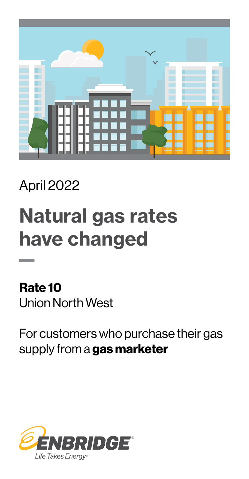

### April 2022

# Natural gas rates have changed

Rate 10 Union North West

For customers who purchase their gas supply from a gas marketer

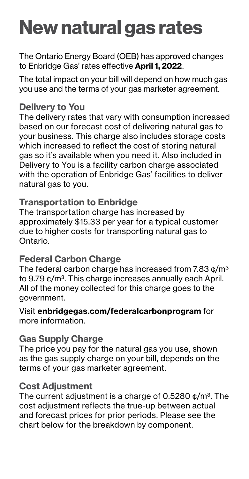## New natural gas rates

The Ontario Energy Board (OEB) has approved changes to Enbridge Gas' rates effective April 1, 2022.

The total impact on your bill will depend on how much gas you use and the terms of your gas marketer agreement.

#### Delivery to You

The delivery rates that vary with consumption increased based on our forecast cost of delivering natural gas to your business. This charge also includes storage costs which increased to reflect the cost of storing natural gas so it's available when you need it. Also included in Delivery to You is a facility carbon charge associated with the operation of Enbridge Gas' facilities to deliver natural gas to you.

#### Transportation to Enbridge

The transportation charge has increased by approximately \$15.33 per year for a typical customer due to higher costs for transporting natural gas to Ontario.

#### Federal Carbon Charge

The federal carbon charge has increased from 7.83  $\text{c/m}^3$ to 9.79 ¢/m<sup>3</sup>. This charge increases annually each April. All of the money collected for this charge goes to the government.

Visit [enbridgegas.com/federalcarbonprogram](http://enbridgegas.com/federalcarbonprogram) for more information.

#### Gas Supply Charge

The price you pay for the natural gas you use, shown as the gas supply charge on your bill, depends on the terms of your gas marketer agreement.

#### Cost Adjustment

The current adjustment is a charge of 0.5280  $\phi/m^3$ . The cost adjustment reflects the true-up between actual and forecast prices for prior periods. Please see the chart below for the breakdown by component.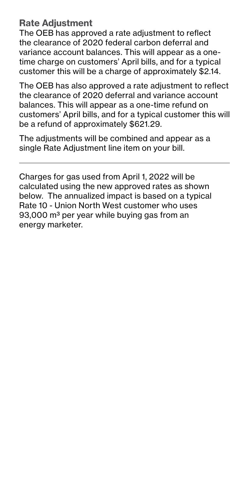#### Rate Adjustment

The OEB has approved a rate adjustment to reflect the clearance of 2020 federal carbon deferral and variance account balances. This will appear as a onetime charge on customers' April bills, and for a typical customer this will be a charge of approximately \$2.14.

The OEB has also approved a rate adjustment to reflect the clearance of 2020 deferral and variance account balances. This will appear as a one-time refund on customers' April bills, and for a typical customer this will be a refund of approximately \$621.29.

The adjustments will be combined and appear as a single Rate Adjustment line item on your bill.

Charges for gas used from April 1, 2022 will be calculated using the new approved rates as shown below. The annualized impact is based on a typical Rate 10 - Union North West customer who uses 93,000 m<sup>3</sup> per year while buying gas from an energy marketer.